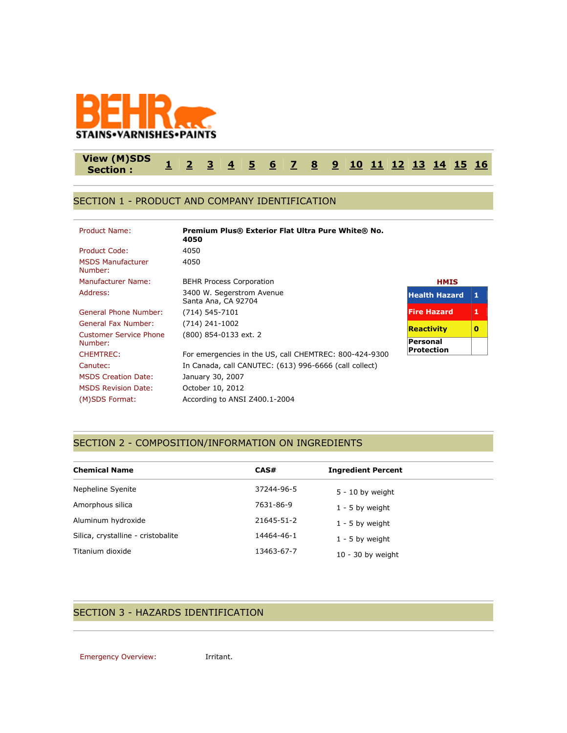

#### **View (M)SDS Section : [1](http://www.actiocms.com/VIEW_MSDS/AuthorDisplay_V402/msdsdisplaycode_author_new_MASTER.cfm?edit_msds_id=182363&dbname=production&Hide_Section_Numbers=N&formatcode=1&language=1&noprint_label_fax_email=N#section1) [2](http://www.actiocms.com/VIEW_MSDS/AuthorDisplay_V402/msdsdisplaycode_author_new_MASTER.cfm?edit_msds_id=182363&dbname=production&Hide_Section_Numbers=N&formatcode=1&language=1&noprint_label_fax_email=N#section2) [3](http://www.actiocms.com/VIEW_MSDS/AuthorDisplay_V402/msdsdisplaycode_author_new_MASTER.cfm?edit_msds_id=182363&dbname=production&Hide_Section_Numbers=N&formatcode=1&language=1&noprint_label_fax_email=N#section3) [4](http://www.actiocms.com/VIEW_MSDS/AuthorDisplay_V402/msdsdisplaycode_author_new_MASTER.cfm?edit_msds_id=182363&dbname=production&Hide_Section_Numbers=N&formatcode=1&language=1&noprint_label_fax_email=N#section4) [5](http://www.actiocms.com/VIEW_MSDS/AuthorDisplay_V402/msdsdisplaycode_author_new_MASTER.cfm?edit_msds_id=182363&dbname=production&Hide_Section_Numbers=N&formatcode=1&language=1&noprint_label_fax_email=N#section5) [6](http://www.actiocms.com/VIEW_MSDS/AuthorDisplay_V402/msdsdisplaycode_author_new_MASTER.cfm?edit_msds_id=182363&dbname=production&Hide_Section_Numbers=N&formatcode=1&language=1&noprint_label_fax_email=N#section6) [7](http://www.actiocms.com/VIEW_MSDS/AuthorDisplay_V402/msdsdisplaycode_author_new_MASTER.cfm?edit_msds_id=182363&dbname=production&Hide_Section_Numbers=N&formatcode=1&language=1&noprint_label_fax_email=N#section7) [8](http://www.actiocms.com/VIEW_MSDS/AuthorDisplay_V402/msdsdisplaycode_author_new_MASTER.cfm?edit_msds_id=182363&dbname=production&Hide_Section_Numbers=N&formatcode=1&language=1&noprint_label_fax_email=N#section8) [9](http://www.actiocms.com/VIEW_MSDS/AuthorDisplay_V402/msdsdisplaycode_author_new_MASTER.cfm?edit_msds_id=182363&dbname=production&Hide_Section_Numbers=N&formatcode=1&language=1&noprint_label_fax_email=N#section9) [10](http://www.actiocms.com/VIEW_MSDS/AuthorDisplay_V402/msdsdisplaycode_author_new_MASTER.cfm?edit_msds_id=182363&dbname=production&Hide_Section_Numbers=N&formatcode=1&language=1&noprint_label_fax_email=N#section10) [11](http://www.actiocms.com/VIEW_MSDS/AuthorDisplay_V402/msdsdisplaycode_author_new_MASTER.cfm?edit_msds_id=182363&dbname=production&Hide_Section_Numbers=N&formatcode=1&language=1&noprint_label_fax_email=N#section11) [12](http://www.actiocms.com/VIEW_MSDS/AuthorDisplay_V402/msdsdisplaycode_author_new_MASTER.cfm?edit_msds_id=182363&dbname=production&Hide_Section_Numbers=N&formatcode=1&language=1&noprint_label_fax_email=N#section12) [13](http://www.actiocms.com/VIEW_MSDS/AuthorDisplay_V402/msdsdisplaycode_author_new_MASTER.cfm?edit_msds_id=182363&dbname=production&Hide_Section_Numbers=N&formatcode=1&language=1&noprint_label_fax_email=N#section13) [14](http://www.actiocms.com/VIEW_MSDS/AuthorDisplay_V402/msdsdisplaycode_author_new_MASTER.cfm?edit_msds_id=182363&dbname=production&Hide_Section_Numbers=N&formatcode=1&language=1&noprint_label_fax_email=N#section14) [15](http://www.actiocms.com/VIEW_MSDS/AuthorDisplay_V402/msdsdisplaycode_author_new_MASTER.cfm?edit_msds_id=182363&dbname=production&Hide_Section_Numbers=N&formatcode=1&language=1&noprint_label_fax_email=N#section15) [16](http://www.actiocms.com/VIEW_MSDS/AuthorDisplay_V402/msdsdisplaycode_author_new_MASTER.cfm?edit_msds_id=182363&dbname=production&Hide_Section_Numbers=N&formatcode=1&language=1&noprint_label_fax_email=N#section16)**

#### SECTION 1 - PRODUCT AND COMPANY IDENTIFICATION

| Product Name:                       | <b>Premium Plus® Exterior Flat Ultra Pure White® No.</b><br>4050 |                      |              |
|-------------------------------------|------------------------------------------------------------------|----------------------|--------------|
| Product Code:                       | 4050                                                             |                      |              |
| <b>MSDS Manufacturer</b><br>Number: | 4050                                                             |                      |              |
| Manufacturer Name:                  | <b>BEHR Process Corporation</b>                                  | <b>HMIS</b>          |              |
| Address:                            | 3400 W. Segerstrom Avenue<br>Santa Ana, CA 92704                 | <b>Health Hazard</b> | $\mathbf{1}$ |
| General Phone Number:               | (714) 545-7101                                                   | <b>Fire Hazard</b>   | 1            |
| General Fax Number:                 | $(714)$ 241-1002                                                 | <b>Reactivity</b>    | 0            |
| <b>Customer Service Phone</b>       | (800) 854-0133 ext. 2                                            |                      |              |
| Number:                             |                                                                  | Personal             |              |
| <b>CHEMTREC:</b>                    | For emergencies in the US, call CHEMTREC: 800-424-9300           | <b>Protection</b>    |              |
| Canutec:                            | In Canada, call CANUTEC: (613) 996-6666 (call collect)           |                      |              |
| <b>MSDS Creation Date:</b>          | January 30, 2007                                                 |                      |              |
| <b>MSDS Revision Date:</b>          | October 10, 2012                                                 |                      |              |
| (M)SDS Format:                      | According to ANSI Z400.1-2004                                    |                      |              |

## SECTION 2 - COMPOSITION/INFORMATION ON INGREDIENTS

| <b>Chemical Name</b>               | CAS#       | <b>Ingredient Percent</b> |  |
|------------------------------------|------------|---------------------------|--|
| Nepheline Syenite                  | 37244-96-5 | $5 - 10$ by weight        |  |
| Amorphous silica                   | 7631-86-9  | $1 - 5$ by weight         |  |
| Aluminum hydroxide                 | 21645-51-2 | $1 - 5$ by weight         |  |
| Silica, crystalline - cristobalite | 14464-46-1 | $1 - 5$ by weight         |  |
| Titanium dioxide                   | 13463-67-7 | $10 - 30$ by weight       |  |
|                                    |            |                           |  |

## SECTION 3 - HAZARDS IDENTIFICATION

Emergency Overview: **Irritant.**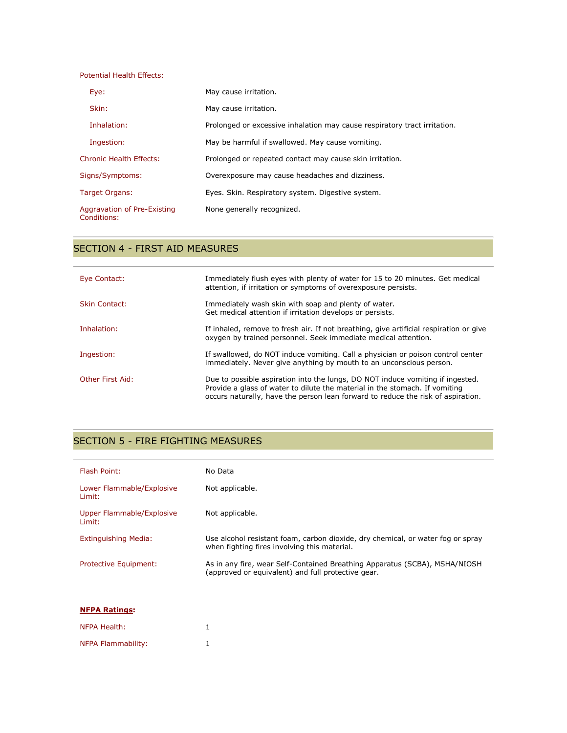| Potential Health Effects:                  |                                                                           |
|--------------------------------------------|---------------------------------------------------------------------------|
| Eye:                                       | May cause irritation.                                                     |
| Skin:                                      | May cause irritation.                                                     |
| Inhalation:                                | Prolonged or excessive inhalation may cause respiratory tract irritation. |
| Ingestion:                                 | May be harmful if swallowed. May cause vomiting.                          |
| Chronic Health Effects:                    | Prolonged or repeated contact may cause skin irritation.                  |
| Signs/Symptoms:                            | Overexposure may cause headaches and dizziness.                           |
| Target Organs:                             | Eyes. Skin. Respiratory system. Digestive system.                         |
| Aggravation of Pre-Existing<br>Conditions: | None generally recognized.                                                |

## SECTION 4 - FIRST AID MEASURES

| Eye Contact:         | Immediately flush eyes with plenty of water for 15 to 20 minutes. Get medical<br>attention, if irritation or symptoms of overexposure persists.                                                                                                   |
|----------------------|---------------------------------------------------------------------------------------------------------------------------------------------------------------------------------------------------------------------------------------------------|
| <b>Skin Contact:</b> | Immediately wash skin with soap and plenty of water.<br>Get medical attention if irritation develops or persists.                                                                                                                                 |
| Inhalation:          | If inhaled, remove to fresh air. If not breathing, give artificial respiration or give<br>oxygen by trained personnel. Seek immediate medical attention.                                                                                          |
| Ingestion:           | If swallowed, do NOT induce vomiting. Call a physician or poison control center<br>immediately. Never give anything by mouth to an unconscious person.                                                                                            |
| Other First Aid:     | Due to possible aspiration into the lungs, DO NOT induce vomiting if ingested.<br>Provide a glass of water to dilute the material in the stomach. If vomiting<br>occurs naturally, have the person lean forward to reduce the risk of aspiration. |

## SECTION 5 - FIRE FIGHTING MEASURES

| Flash Point:                        | No Data                                                                                                                          |
|-------------------------------------|----------------------------------------------------------------------------------------------------------------------------------|
| Lower Flammable/Explosive<br>Limit: | Not applicable.                                                                                                                  |
| Upper Flammable/Explosive<br>Limit: | Not applicable.                                                                                                                  |
| Extinguishing Media:                | Use alcohol resistant foam, carbon dioxide, dry chemical, or water fog or spray<br>when fighting fires involving this material.  |
| Protective Equipment:               | As in any fire, wear Self-Contained Breathing Apparatus (SCBA), MSHA/NIOSH<br>(approved or equivalent) and full protective gear. |
|                                     |                                                                                                                                  |
| <b>NFPA Ratings:</b>                |                                                                                                                                  |
| NFPA Health:                        | 1                                                                                                                                |
| NFPA Flammability:                  |                                                                                                                                  |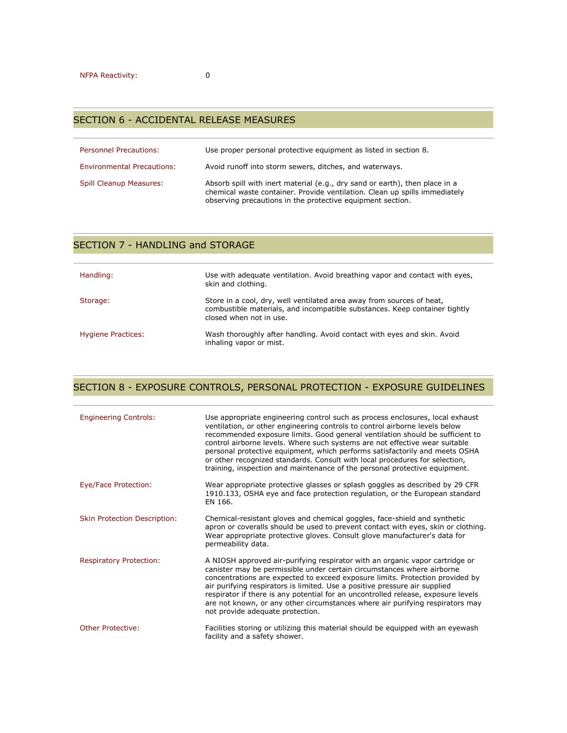| <b>Personnel Precautions:</b>     | Use proper personal protective equipment as listed in section 8.                                                                                                                                                        |
|-----------------------------------|-------------------------------------------------------------------------------------------------------------------------------------------------------------------------------------------------------------------------|
| <b>Environmental Precautions:</b> | Avoid runoff into storm sewers, ditches, and waterways.                                                                                                                                                                 |
| <b>Spill Cleanup Measures:</b>    | Absorb spill with inert material (e.g., dry sand or earth), then place in a<br>chemical waste container. Provide ventilation. Clean up spills immediately<br>observing precautions in the protective equipment section. |

#### SECTION 7 - HANDLING and STORAGE

| Handling:          | Use with adequate ventilation. Avoid breathing vapor and contact with eyes,<br>skin and clothing.                                                                              |
|--------------------|--------------------------------------------------------------------------------------------------------------------------------------------------------------------------------|
| Storage:           | Store in a cool, dry, well ventilated area away from sources of heat,<br>combustible materials, and incompatible substances. Keep container tightly<br>closed when not in use. |
| Hygiene Practices: | Wash thoroughly after handling. Avoid contact with eyes and skin. Avoid<br>inhaling vapor or mist.                                                                             |

## SECTION 8 - EXPOSURE CONTROLS, PERSONAL PROTECTION - EXPOSURE GUIDELINES

| <b>Engineering Controls:</b>        | Use appropriate engineering control such as process enclosures, local exhaust<br>ventilation, or other engineering controls to control airborne levels below<br>recommended exposure limits. Good general ventilation should be sufficient to<br>control airborne levels. Where such systems are not effective wear suitable<br>personal protective equipment, which performs satisfactorily and meets OSHA<br>or other recognized standards. Consult with local procedures for selection,<br>training, inspection and maintenance of the personal protective equipment. |
|-------------------------------------|--------------------------------------------------------------------------------------------------------------------------------------------------------------------------------------------------------------------------------------------------------------------------------------------------------------------------------------------------------------------------------------------------------------------------------------------------------------------------------------------------------------------------------------------------------------------------|
| Eye/Face Protection:                | Wear appropriate protective glasses or splash goggles as described by 29 CFR<br>1910.133, OSHA eye and face protection regulation, or the European standard<br>EN 166.                                                                                                                                                                                                                                                                                                                                                                                                   |
| <b>Skin Protection Description:</b> | Chemical-resistant gloves and chemical goggles, face-shield and synthetic<br>apron or coveralls should be used to prevent contact with eyes, skin or clothing.<br>Wear appropriate protective gloves. Consult glove manufacturer's data for<br>permeability data.                                                                                                                                                                                                                                                                                                        |
| <b>Respiratory Protection:</b>      | A NIOSH approved air-purifying respirator with an organic vapor cartridge or<br>canister may be permissible under certain circumstances where airborne<br>concentrations are expected to exceed exposure limits. Protection provided by<br>air purifying respirators is limited. Use a positive pressure air supplied<br>respirator if there is any potential for an uncontrolled release, exposure levels<br>are not known, or any other circumstances where air purifying respirators may<br>not provide adequate protection.                                          |
| <b>Other Protective:</b>            | Facilities storing or utilizing this material should be equipped with an eyewash<br>facility and a safety shower.                                                                                                                                                                                                                                                                                                                                                                                                                                                        |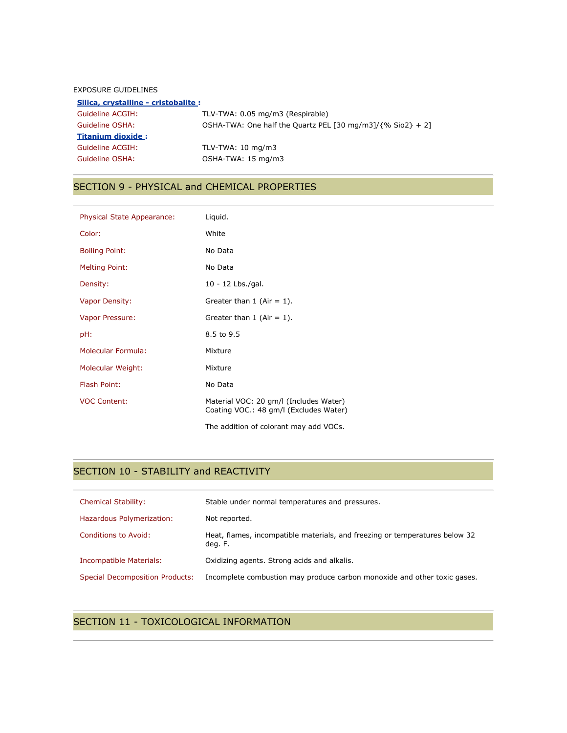#### EXPOSURE GUIDELINES

| Silica, crystalline - cristobalite : |                                                                |  |
|--------------------------------------|----------------------------------------------------------------|--|
| Guideline ACGIH:                     | TLV-TWA: 0.05 mg/m3 (Respirable)                               |  |
| Guideline OSHA:                      | OSHA-TWA: One half the Quartz PEL [30 mg/m3]/ $\{%$ Sio2} + 2] |  |
| <b>Titanium dioxide:</b>             |                                                                |  |
| Guideline ACGIH:                     | TLV-TWA: $10 \text{ mg/m}$ 3                                   |  |
| Guideline OSHA:                      | OSHA-TWA: 15 mg/m3                                             |  |

## SECTION 9 - PHYSICAL and CHEMICAL PROPERTIES

| Physical State Appearance: | Liquid.                                                                          |
|----------------------------|----------------------------------------------------------------------------------|
| Color:                     | White                                                                            |
| <b>Boiling Point:</b>      | No Data                                                                          |
| <b>Melting Point:</b>      | No Data                                                                          |
| Density:                   | 10 - 12 Lbs./gal.                                                                |
| <b>Vapor Density:</b>      | Greater than $1$ (Air = 1).                                                      |
| Vapor Pressure:            | Greater than $1$ (Air = 1).                                                      |
| pH:                        | 8.5 to 9.5                                                                       |
| Molecular Formula:         | Mixture                                                                          |
| Molecular Weight:          | Mixture                                                                          |
| Flash Point:               | No Data                                                                          |
| <b>VOC Content:</b>        | Material VOC: 20 gm/l (Includes Water)<br>Coating VOC.: 48 gm/l (Excludes Water) |
|                            | The addition of colorant may add VOCs.                                           |

# SECTION 10 - STABILITY and REACTIVITY

| <b>Chemical Stability:</b>             | Stable under normal temperatures and pressures.                                        |
|----------------------------------------|----------------------------------------------------------------------------------------|
| Hazardous Polymerization:              | Not reported.                                                                          |
| Conditions to Avoid:                   | Heat, flames, incompatible materials, and freezing or temperatures below 32<br>deg. F. |
| Incompatible Materials:                | Oxidizing agents. Strong acids and alkalis.                                            |
| <b>Special Decomposition Products:</b> | Incomplete combustion may produce carbon monoxide and other toxic gases.               |

### SECTION 11 - TOXICOLOGICAL INFORMATION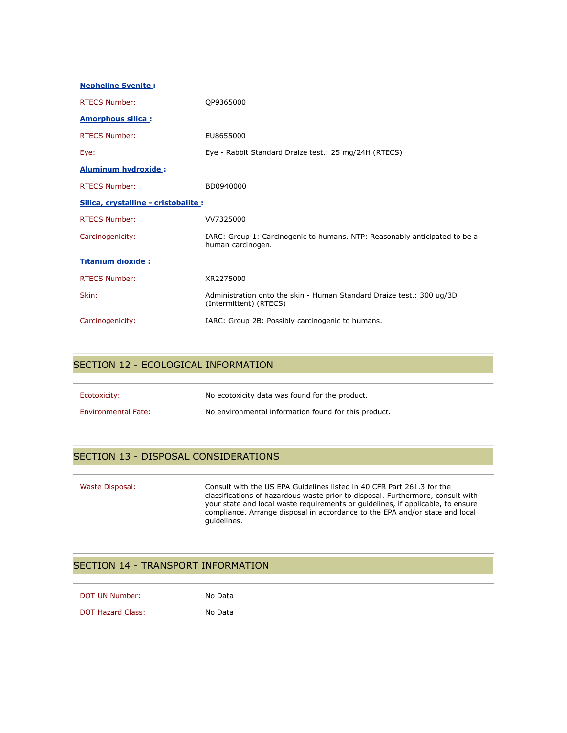| <b>Nepheline Syenite:</b>            |                                                                                                 |  |
|--------------------------------------|-------------------------------------------------------------------------------------------------|--|
| <b>RTECS Number:</b>                 | QP9365000                                                                                       |  |
| <b>Amorphous silica:</b>             |                                                                                                 |  |
| <b>RTECS Number:</b>                 | EU8655000                                                                                       |  |
| Eye:                                 | Eye - Rabbit Standard Draize test.: 25 mg/24H (RTECS)                                           |  |
| <b>Aluminum hydroxide:</b>           |                                                                                                 |  |
| <b>RTECS Number:</b>                 | BD0940000                                                                                       |  |
| Silica, crystalline - cristobalite : |                                                                                                 |  |
| <b>RTECS Number:</b>                 | VV7325000                                                                                       |  |
| Carcinogenicity:                     | IARC: Group 1: Carcinogenic to humans. NTP: Reasonably anticipated to be a<br>human carcinogen. |  |
| <b>Titanium dioxide:</b>             |                                                                                                 |  |
| <b>RTECS Number:</b>                 | XR2275000                                                                                       |  |
| Skin:                                | Administration onto the skin - Human Standard Draize test.: 300 ug/3D<br>(Intermittent) (RTECS) |  |
| Carcinogenicity:                     | IARC: Group 2B: Possibly carcinogenic to humans.                                                |  |

#### SECTION 12 - ECOLOGICAL INFORMATION

| Ecotoxicity:               | No ecotoxicity data was found for the product.       |
|----------------------------|------------------------------------------------------|
| <b>Environmental Fate:</b> | No environmental information found for this product. |

## SECTION 13 - DISPOSAL CONSIDERATIONS

| Waste Disposal: | Consult with the US EPA Guidelines listed in 40 CFR Part 261.3 for the<br>classifications of hazardous waste prior to disposal. Furthermore, consult with<br>your state and local waste requirements or quidelines, if applicable, to ensure<br>compliance. Arrange disposal in accordance to the EPA and/or state and local<br>quidelines. |
|-----------------|---------------------------------------------------------------------------------------------------------------------------------------------------------------------------------------------------------------------------------------------------------------------------------------------------------------------------------------------|
|                 |                                                                                                                                                                                                                                                                                                                                             |

## SECTION 14 - TRANSPORT INFORMATION

| DOT UN Number: | No Data |
|----------------|---------|
|----------------|---------|

DOT Hazard Class: No Data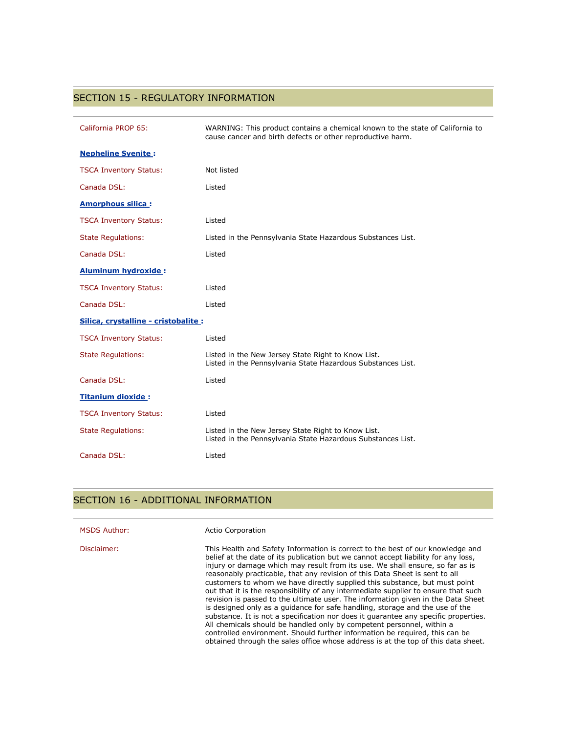## SECTION 15 - REGULATORY INFORMATION

| California PROP 65:                  | WARNING: This product contains a chemical known to the state of California to<br>cause cancer and birth defects or other reproductive harm. |
|--------------------------------------|---------------------------------------------------------------------------------------------------------------------------------------------|
| <b>Nepheline Syenite:</b>            |                                                                                                                                             |
| <b>TSCA Inventory Status:</b>        | Not listed                                                                                                                                  |
| Canada DSL:                          | Listed                                                                                                                                      |
| <b>Amorphous silica:</b>             |                                                                                                                                             |
| <b>TSCA Inventory Status:</b>        | Listed                                                                                                                                      |
| <b>State Regulations:</b>            | Listed in the Pennsylvania State Hazardous Substances List.                                                                                 |
| Canada DSL:                          | Listed                                                                                                                                      |
| <b>Aluminum hydroxide:</b>           |                                                                                                                                             |
| <b>TSCA Inventory Status:</b>        | Listed                                                                                                                                      |
| Canada DSL:                          | Listed                                                                                                                                      |
| Silica, crystalline - cristobalite : |                                                                                                                                             |
| <b>TSCA Inventory Status:</b>        | Listed                                                                                                                                      |
| <b>State Regulations:</b>            | Listed in the New Jersey State Right to Know List.<br>Listed in the Pennsylvania State Hazardous Substances List.                           |
| Canada DSL:                          | Listed                                                                                                                                      |
| <b>Titanium dioxide:</b>             |                                                                                                                                             |
| <b>TSCA Inventory Status:</b>        | Listed                                                                                                                                      |
| <b>State Regulations:</b>            | Listed in the New Jersey State Right to Know List.<br>Listed in the Pennsylvania State Hazardous Substances List.                           |
| Canada DSL:                          | Listed                                                                                                                                      |

## SECTION 16 - ADDITIONAL INFORMATION

| <b>MSDS Author:</b> | Actio Corporation                                                                                                                                                                                                                                                                                                                                                                                                                                                                                                                                                                                                                                                                                                                                                                                                                                                                                                                                                                                                |
|---------------------|------------------------------------------------------------------------------------------------------------------------------------------------------------------------------------------------------------------------------------------------------------------------------------------------------------------------------------------------------------------------------------------------------------------------------------------------------------------------------------------------------------------------------------------------------------------------------------------------------------------------------------------------------------------------------------------------------------------------------------------------------------------------------------------------------------------------------------------------------------------------------------------------------------------------------------------------------------------------------------------------------------------|
| Disclaimer:         | This Health and Safety Information is correct to the best of our knowledge and<br>belief at the date of its publication but we cannot accept liability for any loss,<br>injury or damage which may result from its use. We shall ensure, so far as is<br>reasonably practicable, that any revision of this Data Sheet is sent to all<br>customers to whom we have directly supplied this substance, but must point<br>out that it is the responsibility of any intermediate supplier to ensure that such<br>revision is passed to the ultimate user. The information given in the Data Sheet<br>is designed only as a quidance for safe handling, storage and the use of the<br>substance. It is not a specification nor does it quarantee any specific properties.<br>All chemicals should be handled only by competent personnel, within a<br>controlled environment. Should further information be required, this can be<br>obtained through the sales office whose address is at the top of this data sheet. |